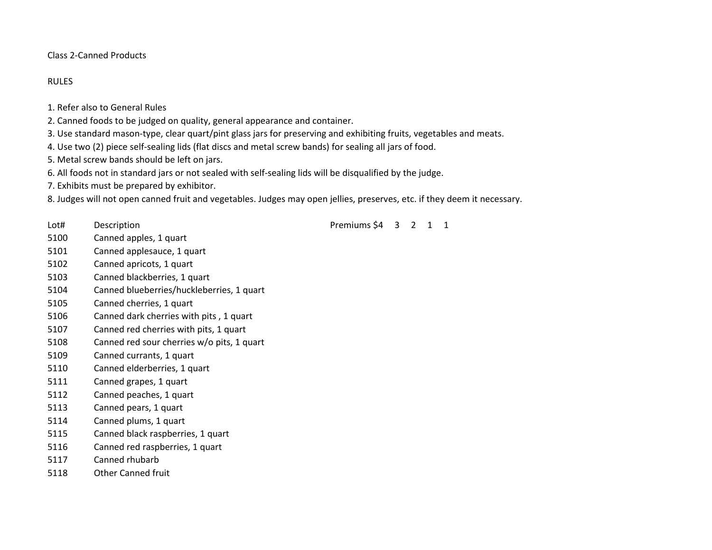Class 2-Canned Products

## RULES

- 1. Refer also to General Rules
- 2. Canned foods to be judged on quality, general appearance and container.
- 3. Use standard mason-type, clear quart/pint glass jars for preserving and exhibiting fruits, vegetables and meats.
- 4. Use two (2) piece self-sealing lids (flat discs and metal screw bands) for sealing all jars of food.
- 5. Metal screw bands should be left on jars.
- 6. All foods not in standard jars or not sealed with self-sealing lids will be disqualified by the judge.
- 7. Exhibits must be prepared by exhibitor.
- 8. Judges will not open canned fruit and vegetables. Judges may open jellies, preserves, etc. if they deem it necessary.
- 
- Canned apples, 1 quart
- Canned applesauce, 1 quart
- Canned apricots, 1 quart
- Canned blackberries, 1 quart
- Canned blueberries/huckleberries, 1 quart
- Canned cherries, 1 quart
- Canned dark cherries with pits , 1 quart
- Canned red cherries with pits, 1 quart
- Canned red sour cherries w/o pits, 1 quart
- Canned currants, 1 quart
- Canned elderberries, 1 quart
- Canned grapes, 1 quart
- Canned peaches, 1 quart
- Canned pears, 1 quart
- Canned plums, 1 quart
- Canned black raspberries, 1 quart
- Canned red raspberries, 1 quart
- Canned rhubarb
- Other Canned fruit

Lot# Description **Description** Description Description Description Description Description Description Description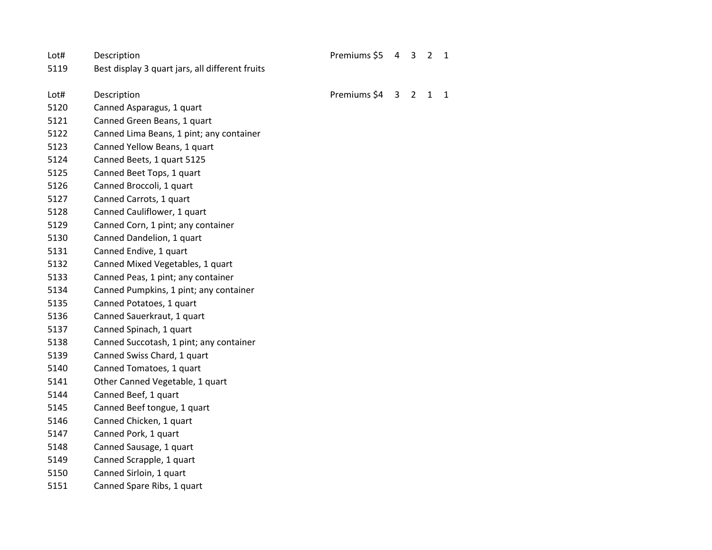| Lot# | Description                                     | Premiums \$5 | 4            | 3              | $\overline{2}$ | $\mathbf{1}$ |
|------|-------------------------------------------------|--------------|--------------|----------------|----------------|--------------|
| 5119 | Best display 3 quart jars, all different fruits |              |              |                |                |              |
| Lot# | Description                                     | Premiums \$4 | $\mathbf{3}$ | $\overline{2}$ | $\mathbf{1}$   | $\mathbf{1}$ |
| 5120 | Canned Asparagus, 1 quart                       |              |              |                |                |              |
| 5121 | Canned Green Beans, 1 quart                     |              |              |                |                |              |
| 5122 | Canned Lima Beans, 1 pint; any container        |              |              |                |                |              |
| 5123 | Canned Yellow Beans, 1 quart                    |              |              |                |                |              |
| 5124 | Canned Beets, 1 quart 5125                      |              |              |                |                |              |
| 5125 | Canned Beet Tops, 1 quart                       |              |              |                |                |              |
| 5126 | Canned Broccoli, 1 quart                        |              |              |                |                |              |
| 5127 | Canned Carrots, 1 quart                         |              |              |                |                |              |
| 5128 | Canned Cauliflower, 1 quart                     |              |              |                |                |              |
| 5129 | Canned Corn, 1 pint; any container              |              |              |                |                |              |
| 5130 | Canned Dandelion, 1 quart                       |              |              |                |                |              |
| 5131 | Canned Endive, 1 quart                          |              |              |                |                |              |
| 5132 | Canned Mixed Vegetables, 1 quart                |              |              |                |                |              |
| 5133 | Canned Peas, 1 pint; any container              |              |              |                |                |              |
| 5134 | Canned Pumpkins, 1 pint; any container          |              |              |                |                |              |
| 5135 | Canned Potatoes, 1 quart                        |              |              |                |                |              |
| 5136 | Canned Sauerkraut, 1 quart                      |              |              |                |                |              |
| 5137 | Canned Spinach, 1 quart                         |              |              |                |                |              |
| 5138 | Canned Succotash, 1 pint; any container         |              |              |                |                |              |
| 5139 | Canned Swiss Chard, 1 quart                     |              |              |                |                |              |
| 5140 | Canned Tomatoes, 1 quart                        |              |              |                |                |              |
| 5141 | Other Canned Vegetable, 1 quart                 |              |              |                |                |              |
| 5144 | Canned Beef, 1 quart                            |              |              |                |                |              |
| 5145 | Canned Beef tongue, 1 quart                     |              |              |                |                |              |
| 5146 | Canned Chicken, 1 quart                         |              |              |                |                |              |
| 5147 | Canned Pork, 1 quart                            |              |              |                |                |              |
| 5148 | Canned Sausage, 1 quart                         |              |              |                |                |              |
| 5149 | Canned Scrapple, 1 quart                        |              |              |                |                |              |
| 5150 | Canned Sirloin, 1 quart                         |              |              |                |                |              |
| 5151 | Canned Spare Ribs, 1 quart                      |              |              |                |                |              |
|      |                                                 |              |              |                |                |              |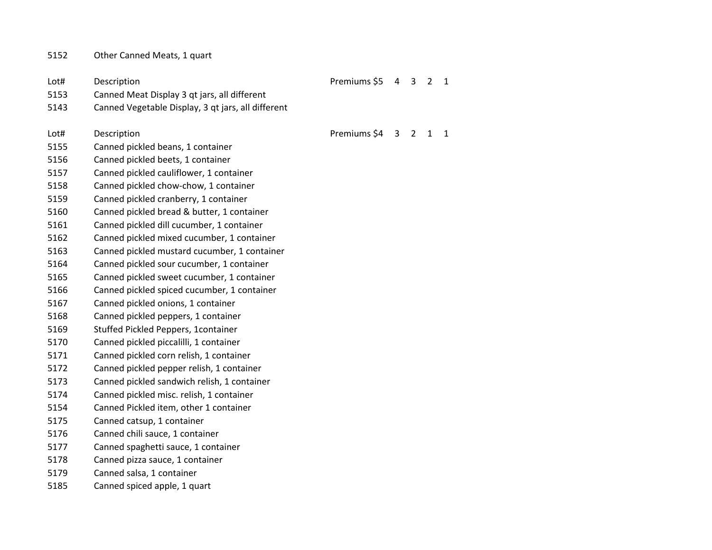| 5152 | Other Canned Meats, 1 quart |
|------|-----------------------------|
|------|-----------------------------|

| Lot# | Description                                        | Premiums \$5 |   | 4 3            | $\overline{2}$ | $\mathbf{1}$ |
|------|----------------------------------------------------|--------------|---|----------------|----------------|--------------|
| 5153 | Canned Meat Display 3 qt jars, all different       |              |   |                |                |              |
| 5143 | Canned Vegetable Display, 3 qt jars, all different |              |   |                |                |              |
| Lot# | Description                                        | Premiums \$4 | 3 | $\overline{2}$ | $\mathbf{1}$   | 1            |
| 5155 | Canned pickled beans, 1 container                  |              |   |                |                |              |
| 5156 | Canned pickled beets, 1 container                  |              |   |                |                |              |
| 5157 | Canned pickled cauliflower, 1 container            |              |   |                |                |              |
| 5158 | Canned pickled chow-chow, 1 container              |              |   |                |                |              |
| 5159 | Canned pickled cranberry, 1 container              |              |   |                |                |              |
| 5160 | Canned pickled bread & butter, 1 container         |              |   |                |                |              |
| 5161 | Canned pickled dill cucumber, 1 container          |              |   |                |                |              |
| 5162 | Canned pickled mixed cucumber, 1 container         |              |   |                |                |              |
| 5163 | Canned pickled mustard cucumber, 1 container       |              |   |                |                |              |
| 5164 | Canned pickled sour cucumber, 1 container          |              |   |                |                |              |
| 5165 | Canned pickled sweet cucumber, 1 container         |              |   |                |                |              |
| 5166 | Canned pickled spiced cucumber, 1 container        |              |   |                |                |              |
| 5167 | Canned pickled onions, 1 container                 |              |   |                |                |              |
| 5168 | Canned pickled peppers, 1 container                |              |   |                |                |              |
| 5169 | Stuffed Pickled Peppers, 1container                |              |   |                |                |              |
| 5170 | Canned pickled piccalilli, 1 container             |              |   |                |                |              |
| 5171 | Canned pickled corn relish, 1 container            |              |   |                |                |              |
| 5172 | Canned pickled pepper relish, 1 container          |              |   |                |                |              |
| 5173 | Canned pickled sandwich relish, 1 container        |              |   |                |                |              |
| 5174 | Canned pickled misc. relish, 1 container           |              |   |                |                |              |
| 5154 | Canned Pickled item, other 1 container             |              |   |                |                |              |
| 5175 | Canned catsup, 1 container                         |              |   |                |                |              |
| 5176 | Canned chili sauce, 1 container                    |              |   |                |                |              |
| 5177 | Canned spaghetti sauce, 1 container                |              |   |                |                |              |
| 5178 | Canned pizza sauce, 1 container                    |              |   |                |                |              |
| 5179 | Canned salsa, 1 container                          |              |   |                |                |              |
| 5185 | Canned spiced apple, 1 quart                       |              |   |                |                |              |
|      |                                                    |              |   |                |                |              |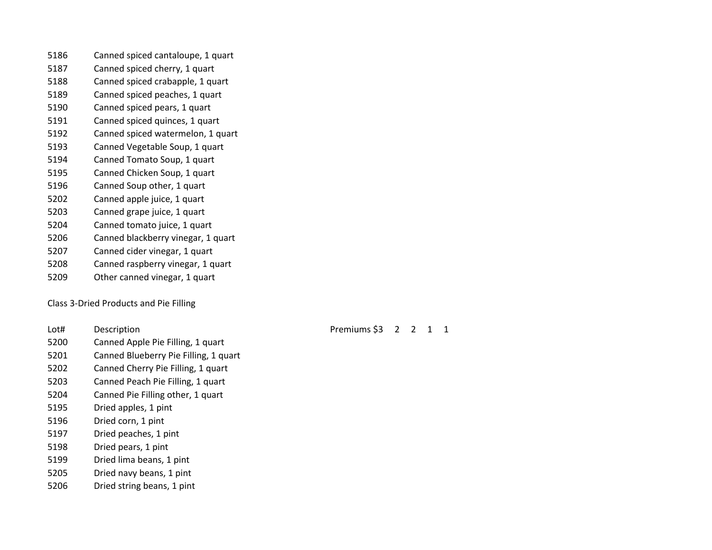- Canned spiced cantaloupe, 1 quart
- Canned spiced cherry, 1 quart
- Canned spiced crabapple, 1 quart
- Canned spiced peaches, 1 quart
- Canned spiced pears, 1 quart
- Canned spiced quinces, 1 quart
- Canned spiced watermelon, 1 quart
- Canned Vegetable Soup, 1 quart
- Canned Tomato Soup, 1 quart
- Canned Chicken Soup, 1 quart
- Canned Soup other, 1 quart
- Canned apple juice, 1 quart
- Canned grape juice, 1 quart
- Canned tomato juice, 1 quart
- Canned blackberry vinegar, 1 quart
- Canned cider vinegar, 1 quart
- Canned raspberry vinegar, 1 quart
- Other canned vinegar, 1 quart

Class 3-Dried Products and Pie Filling

- 
- Canned Apple Pie Filling, 1 quart
- Canned Blueberry Pie Filling, 1 quart
- Canned Cherry Pie Filling, 1 quart
- Canned Peach Pie Filling, 1 quart
- Canned Pie Filling other, 1 quart
- Dried apples, 1 pint
- Dried corn, 1 pint
- Dried peaches, 1 pint
- Dried pears, 1 pint
- Dried lima beans, 1 pint
- Dried navy beans, 1 pint
- Dried string beans, 1 pint

Lot# Description **Description** Description Description Description Description Description Description Description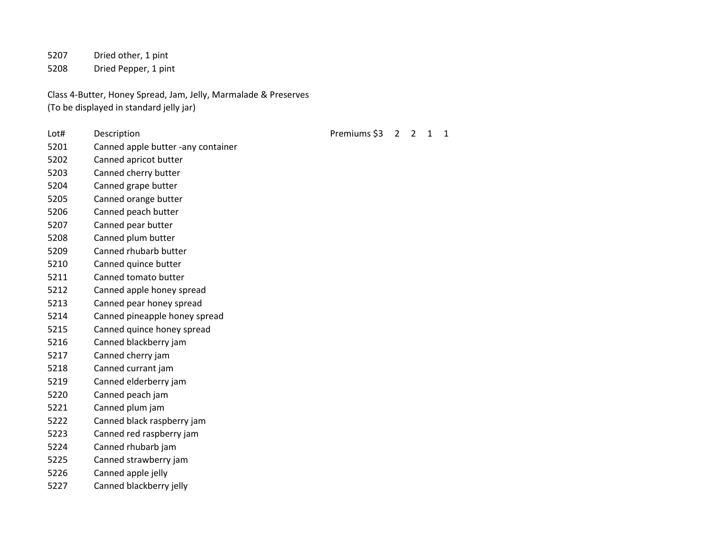Dried other, 1 pint Dried Pepper, 1 pint

Class 4-Butter, Honey Spread, Jam, Jelly, Marmalade & Preserves (To be displayed in standard jelly jar)

- 
- Canned apple butter -any container
- Canned apricot butter
- Canned cherry butter
- Canned grape butter
- Canned orange butter
- Canned peach butter
- Canned pear butter
- Canned plum butter
- Canned rhubarb butter
- Canned quince butter
- Canned tomato butter
- Canned apple honey spread
- Canned pear honey spread
- Canned pineapple honey spread
- Canned quince honey spread
- Canned blackberry jam
- Canned cherry jam
- Canned currant jam
- Canned elderberry jam
- Canned peach jam
- Canned plum jam
- Canned black raspberry jam
- Canned red raspberry jam
- Canned rhubarb jam
- Canned strawberry jam
- Canned apple jelly
- Canned blackberry jelly

Lot# Description **Description** Description Description Description Description Description Description Description